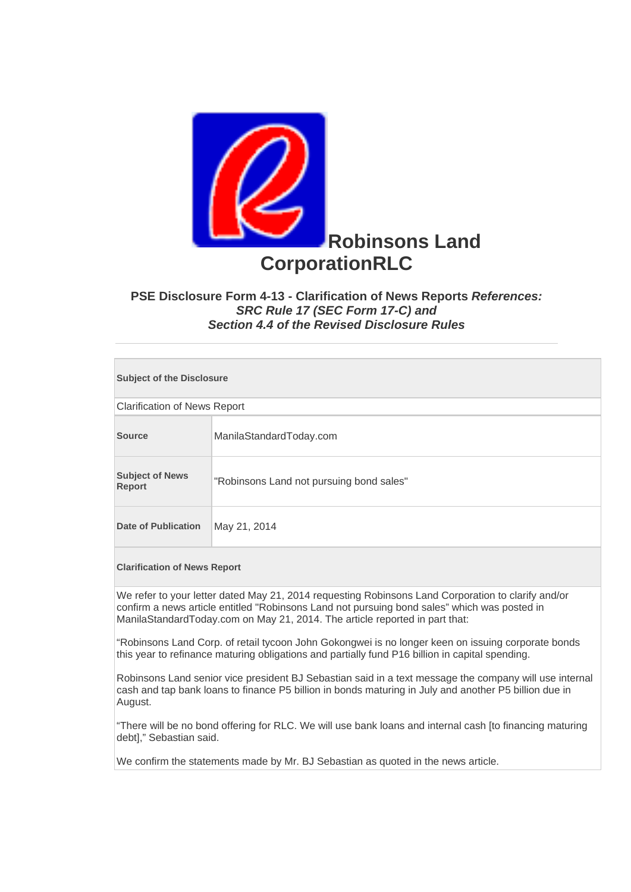

## **PSE Disclosure Form 4-13 - Clarification of News Reports** *References: SRC Rule 17 (SEC Form 17-C) and Section 4.4 of the Revised Disclosure Rules*

| <b>Subject of the Disclosure</b>                                                                                                                                                                                                                                                  |                                          |  |
|-----------------------------------------------------------------------------------------------------------------------------------------------------------------------------------------------------------------------------------------------------------------------------------|------------------------------------------|--|
| <b>Clarification of News Report</b>                                                                                                                                                                                                                                               |                                          |  |
| <b>Source</b>                                                                                                                                                                                                                                                                     | ManilaStandardToday.com                  |  |
| <b>Subject of News</b><br><b>Report</b>                                                                                                                                                                                                                                           | "Robinsons Land not pursuing bond sales" |  |
| <b>Date of Publication</b>                                                                                                                                                                                                                                                        | May 21, 2014                             |  |
| <b>Clarification of News Report</b>                                                                                                                                                                                                                                               |                                          |  |
| We refer to your letter dated May 21, 2014 requesting Robinsons Land Corporation to clarify and/or<br>confirm a news article entitled "Robinsons Land not pursuing bond sales" which was posted in<br>ManilaStandardToday.com on May 21, 2014. The article reported in part that: |                                          |  |

"Robinsons Land Corp. of retail tycoon John Gokongwei is no longer keen on issuing corporate bonds this year to refinance maturing obligations and partially fund P16 billion in capital spending.

Robinsons Land senior vice president BJ Sebastian said in a text message the company will use internal cash and tap bank loans to finance P5 billion in bonds maturing in July and another P5 billion due in August.

"There will be no bond offering for RLC. We will use bank loans and internal cash [to financing maturing debt]," Sebastian said.

We confirm the statements made by Mr. BJ Sebastian as quoted in the news article.